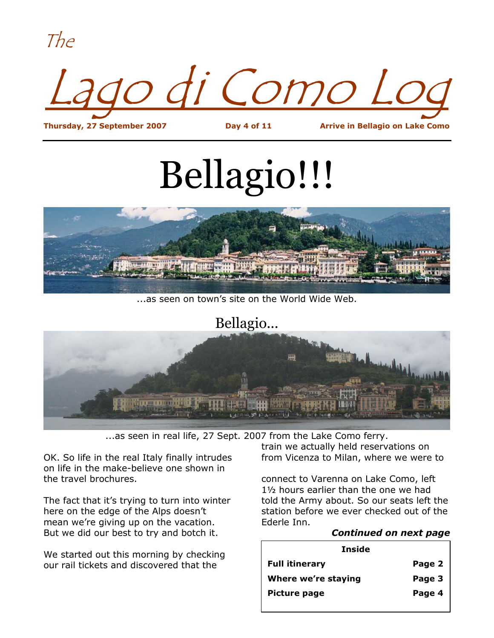The



**Thursday, 27 September 2007 Day 4 of 11 Arrive in Bellagio on Lake Como**

# Bellagio!!!



...as seen on town's site on the World Wide Web.

#### Bellagio...



...as seen in real life, 27 Sept. 2007 from the Lake Como ferry.

OK. So life in the real Italy finally intrudes on life in the make-believe one shown in the travel brochures.

The fact that it's trying to turn into winter here on the edge of the Alps doesn't mean we're giving up on the vacation. But we did our best to try and botch it.

We started out this morning by checking our rail tickets and discovered that the

train we actually held reservations on from Vicenza to Milan, where we were to

connect to Varenna on Lake Como, left 1½ hours earlier than the one we had told the Army about. So our seats left the station before we ever checked out of the Ederle Inn.

#### *Continued on next page*

| Inside                |        |  |  |  |
|-----------------------|--------|--|--|--|
| <b>Full itinerary</b> | Page 2 |  |  |  |
| Where we're staying   | Page 3 |  |  |  |
| <b>Picture page</b>   | Page 4 |  |  |  |
|                       |        |  |  |  |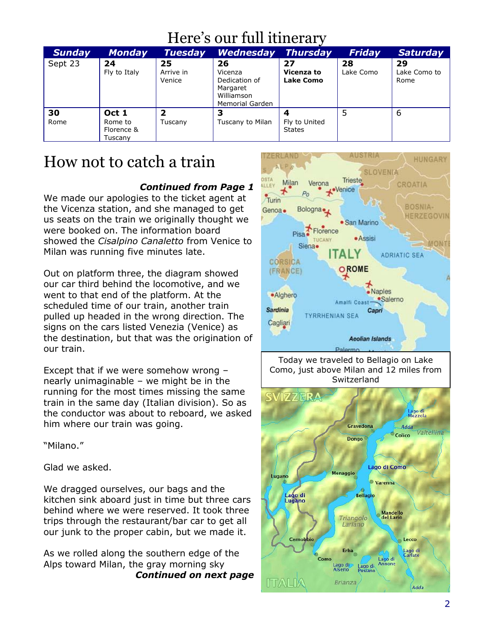## Here's our full itinerary

| <b>Sunday</b> | <b>Monday</b>                             | <b>Tuesday</b>            | <b>Wednesday</b>                                                                   | <b>Thursday</b>                | Friday          | <b>Saturday</b>            |
|---------------|-------------------------------------------|---------------------------|------------------------------------------------------------------------------------|--------------------------------|-----------------|----------------------------|
| Sept 23       | 24<br>Fly to Italy                        | 25<br>Arrive in<br>Venice | 26<br>Vicenza<br>Dedication of<br>Margaret<br>Williamson<br><b>Memorial Garden</b> | 27<br>Vicenza to<br>Lake Como  | 28<br>Lake Como | 29<br>Lake Como to<br>Rome |
| 30<br>Rome    | Oct 1<br>Rome to<br>Florence &<br>Tuscany | 2<br>Tuscany              | 3<br>Tuscany to Milan                                                              | Fly to United<br><b>States</b> |                 | 6                          |

### How not to catch a train

#### *Continued from Page 1*

We made our apologies to the ticket agent at the Vicenza station, and she managed to get us seats on the train we originally thought we were booked on. The information board showed the *Cisalpino Canaletto* from Venice to Milan was running five minutes late.

Out on platform three, the diagram showed our car third behind the locomotive, and we went to that end of the platform. At the scheduled time of our train, another train pulled up headed in the wrong direction. The signs on the cars listed Venezia (Venice) as the destination, but that was the origination of our train.

Except that if we were somehow wrong – nearly unimaginable – we might be in the running for the most times missing the same train in the same day (Italian division). So as the conductor was about to reboard, we asked him where our train was going.

"Milano."

Glad we asked.

We dragged ourselves, our bags and the kitchen sink aboard just in time but three cars behind where we were reserved. It took three trips through the restaurant/bar car to get all our junk to the proper cabin, but we made it.

As we rolled along the southern edge of the Alps toward Milan, the gray morning sky *Continued on next page*



Today we traveled to Bellagio on Lake Como, just above Milan and 12 miles from Switzerland

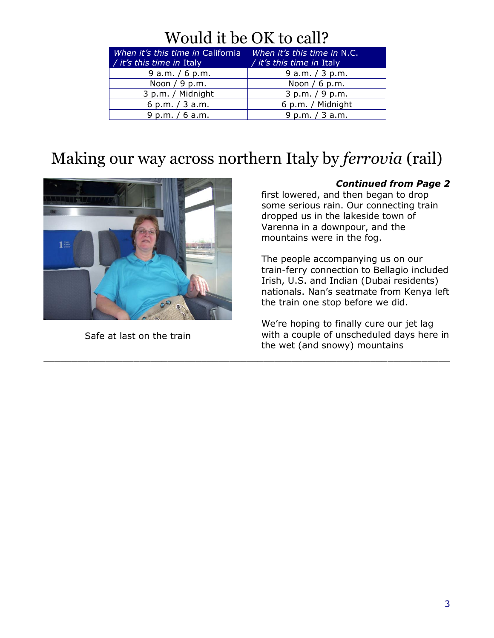## Would it be OK to call?

| When it's this time in California<br>/ it's this time in Italy | When it's this time in N.C.<br>/ it's this time in Italy |
|----------------------------------------------------------------|----------------------------------------------------------|
| $9$ a.m. / 6 p.m.                                              | 9 a.m. $/$ 3 p.m.                                        |
| Noon $/ 9$ p.m.                                                | Noon $/ 6$ p.m.                                          |
| 3 p.m. / Midnight                                              | 3 p.m. / 9 p.m.                                          |
| 6 p.m. $/$ 3 a.m.                                              | 6 p.m. / Midnight                                        |
| 9 p.m. $/ 6$ a.m.                                              | 9 p.m. / 3 a.m.                                          |

## Making our way across northern Italy by *ferrovia* (rail)

 $\_$  , and the set of the set of the set of the set of the set of the set of the set of the set of the set of the set of the set of the set of the set of the set of the set of the set of the set of the set of the set of th



Safe at last on the train

#### *Continued from Page 2*

first lowered, and then began to drop some serious rain. Our connecting train dropped us in the lakeside town of Varenna in a downpour, and the mountains were in the fog.

The people accompanying us on our train-ferry connection to Bellagio included Irish, U.S. and Indian (Dubai residents) nationals. Nan's seatmate from Kenya left the train one stop before we did.

We're hoping to finally cure our jet lag with a couple of unscheduled days here in the wet (and snowy) mountains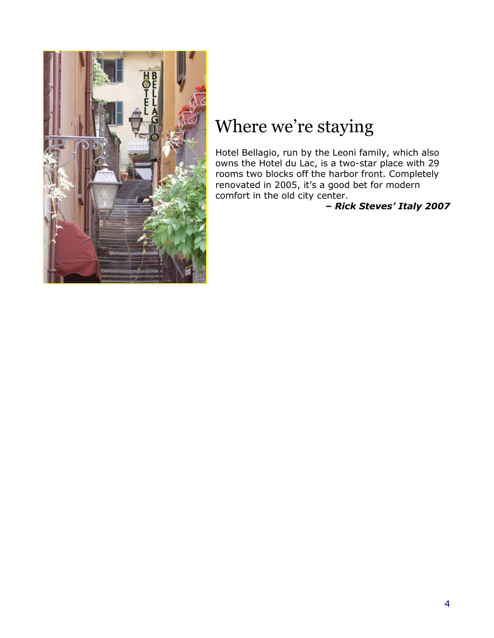

## Where we're staying

Hotel Bellagio, run by the Leoni family, which also owns the Hotel du Lac, is a two-star place with 29 rooms two blocks off the harbor front. Completely renovated in 2005, it's a good bet for modern comfort in the old city center.

#### *– Rick Steves' Italy 2007*